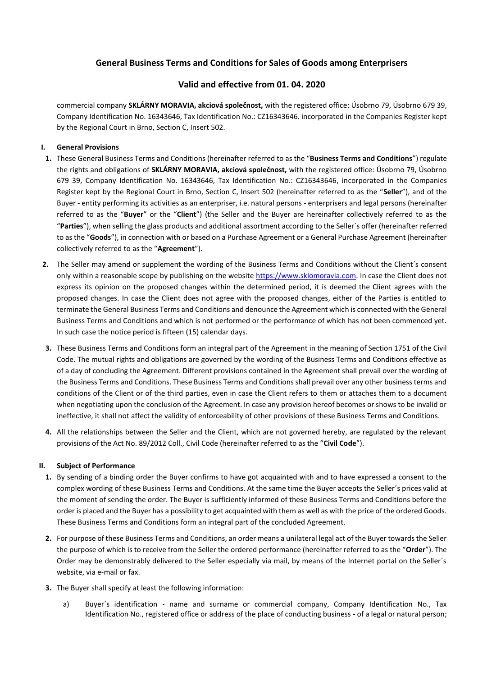# **General Business Terms and Conditions for Sales of Goods among Enterprisers**

## **Valid and effective from 01. 04. 2020**

commercial company **SKLÁRNY MORAVIA, akciová společnost,** with the registered office: Úsobrno 79, Úsobrno 679 39, Company Identification No. 16343646, Tax Identification No.: CZ16343646. incorporated in the Companies Register kept by the Regional Court in Brno, Section C, Insert 502.

## **I. General Provisions**

- **1.** These General Business Terms and Conditions (hereinafter referred to as the "**Business Terms and Conditions**") regulate the rights and obligations of **SKLÁRNY MORAVIA, akciová společnost,** with the registered office: Úsobrno 79, Úsobrno 679 39, Company Identification No. 16343646, Tax Identification No.: CZ16343646, incorporated in the Companies Register kept by the Regional Court in Brno, Section C, Insert 502 (hereinafter referred to as the "**Seller**"), and of the Buyer - entity performing its activities as an enterpriser, i.e. natural persons - enterprisers and legal persons (hereinafter referred to as the "**Buyer**" or the "**Client**") (the Seller and the Buyer are hereinafter collectively referred to as the "**Parties**"), when selling the glass products and additional assortment according to the Seller´s offer (hereinafter referred to as the "**Goods**"), in connection with or based on a Purchase Agreement or a General Purchase Agreement (hereinafter collectively referred to as the "**Agreement**").
- **2.** The Seller may amend or supplement the wording of the Business Terms and Conditions without the Client´s consent only within a reasonable scope by publishing on the website [https://www.sklomoravia.com.](https://www.sklomoravia.com/) In case the Client does not express its opinion on the proposed changes within the determined period, it is deemed the Client agrees with the proposed changes. In case the Client does not agree with the proposed changes, either of the Parties is entitled to terminate the General Business Terms and Conditions and denounce the Agreement which is connected with the General Business Terms and Conditions and which is not performed or the performance of which has not been commenced yet. In such case the notice period is fifteen (15) calendar days.
- **3.** These Business Terms and Conditions form an integral part of the Agreement in the meaning of Section 1751 of the Civil Code. The mutual rights and obligations are governed by the wording of the Business Terms and Conditions effective as of a day of concluding the Agreement. Different provisions contained in the Agreement shall prevail over the wording of the Business Terms and Conditions. These Business Terms and Conditions shall prevail over any other business terms and conditions of the Client or of the third parties, even in case the Client refers to them or attaches them to a document when negotiating upon the conclusion of the Agreement. In case any provision hereof becomes or shows to be invalid or ineffective, it shall not affect the validity of enforceability of other provisions of these Business Terms and Conditions.
- **4.** All the relationships between the Seller and the Client, which are not governed hereby, are regulated by the relevant provisions of the Act No. 89/2012 Coll., Civil Code (hereinafter referred to as the "**Civil Code**").

## **II. Subject of Performance**

- **1.** By sending of a binding order the Buyer confirms to have got acquainted with and to have expressed a consent to the complex wording of these Business Terms and Conditions. At the same time the Buyer accepts the Seller´s prices valid at the moment of sending the order. The Buyer is sufficiently informed of these Business Terms and Conditions before the order is placed and the Buyer has a possibility to get acquainted with them as well as with the price of the ordered Goods. These Business Terms and Conditions form an integral part of the concluded Agreement.
- **2.** For purpose of these Business Terms and Conditions, an order means a unilateral legal act of the Buyer towards the Seller the purpose of which is to receive from the Seller the ordered performance (hereinafter referred to as the "**Order**"). The Order may be demonstrably delivered to the Seller especially via mail, by means of the Internet portal on the Seller´s website, via e-mail or fax.
- **3.** The Buyer shall specify at least the following information:
	- a) Buyer´s identification name and surname or commercial company, Company Identification No., Tax Identification No., registered office or address of the place of conducting business - of a legal or natural person;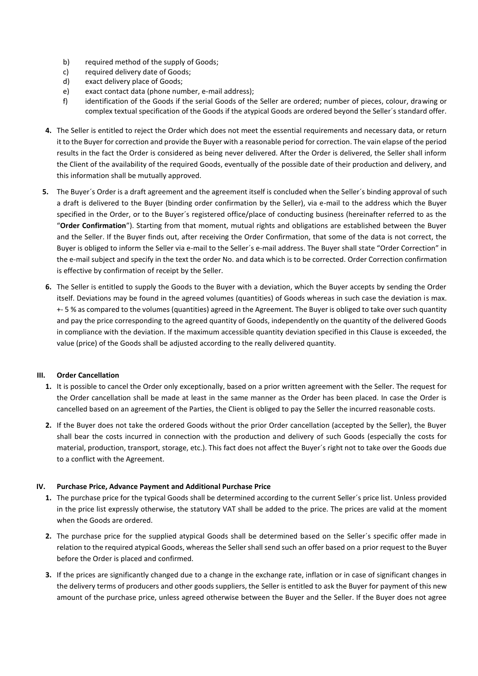- b) required method of the supply of Goods;
- c) required delivery date of Goods;
- d) exact delivery place of Goods;
- e) exact contact data (phone number, e-mail address);
- f) identification of the Goods if the serial Goods of the Seller are ordered; number of pieces, colour, drawing or complex textual specification of the Goods if the atypical Goods are ordered beyond the Seller´s standard offer.
- **4.** The Seller is entitled to reject the Order which does not meet the essential requirements and necessary data, or return it to the Buyer for correction and provide the Buyer with a reasonable period for correction. The vain elapse of the period results in the fact the Order is considered as being never delivered. After the Order is delivered, the Seller shall inform the Client of the availability of the required Goods, eventually of the possible date of their production and delivery, and this information shall be mutually approved.
- **5.** The Buyer´s Order is a draft agreement and the agreement itself is concluded when the Seller´s binding approval of such a draft is delivered to the Buyer (binding order confirmation by the Seller), via e-mail to the address which the Buyer specified in the Order, or to the Buyer´s registered office/place of conducting business (hereinafter referred to as the "**Order Confirmation**"). Starting from that moment, mutual rights and obligations are established between the Buyer and the Seller. If the Buyer finds out, after receiving the Order Confirmation, that some of the data is not correct, the Buyer is obliged to inform the Seller via e-mail to the Seller´s e-mail address. The Buyer shall state "Order Correction" in the e-mail subject and specify in the text the order No. and data which is to be corrected. Order Correction confirmation is effective by confirmation of receipt by the Seller.
- **6.** The Seller is entitled to supply the Goods to the Buyer with a deviation, which the Buyer accepts by sending the Order itself. Deviations may be found in the agreed volumes (quantities) of Goods whereas in such case the deviation is max. +- 5 % as compared to the volumes (quantities) agreed in the Agreement. The Buyer is obliged to take over such quantity and pay the price corresponding to the agreed quantity of Goods, independently on the quantity of the delivered Goods in compliance with the deviation. If the maximum accessible quantity deviation specified in this Clause is exceeded, the value (price) of the Goods shall be adjusted according to the really delivered quantity.

## **III. Order Cancellation**

- **1.** It is possible to cancel the Order only exceptionally, based on a prior written agreement with the Seller. The request for the Order cancellation shall be made at least in the same manner as the Order has been placed. In case the Order is cancelled based on an agreement of the Parties, the Client is obliged to pay the Seller the incurred reasonable costs.
- **2.** If the Buyer does not take the ordered Goods without the prior Order cancellation (accepted by the Seller), the Buyer shall bear the costs incurred in connection with the production and delivery of such Goods (especially the costs for material, production, transport, storage, etc.). This fact does not affect the Buyer´s right not to take over the Goods due to a conflict with the Agreement.

## **IV. Purchase Price, Advance Payment and Additional Purchase Price**

- **1.** The purchase price for the typical Goods shall be determined according to the current Seller´s price list. Unless provided in the price list expressly otherwise, the statutory VAT shall be added to the price. The prices are valid at the moment when the Goods are ordered.
- **2.** The purchase price for the supplied atypical Goods shall be determined based on the Seller´s specific offer made in relation to the required atypical Goods, whereas the Seller shall send such an offer based on a prior request to the Buyer before the Order is placed and confirmed.
- **3.** If the prices are significantly changed due to a change in the exchange rate, inflation or in case of significant changes in the delivery terms of producers and other goods suppliers, the Seller is entitled to ask the Buyer for payment of this new amount of the purchase price, unless agreed otherwise between the Buyer and the Seller. If the Buyer does not agree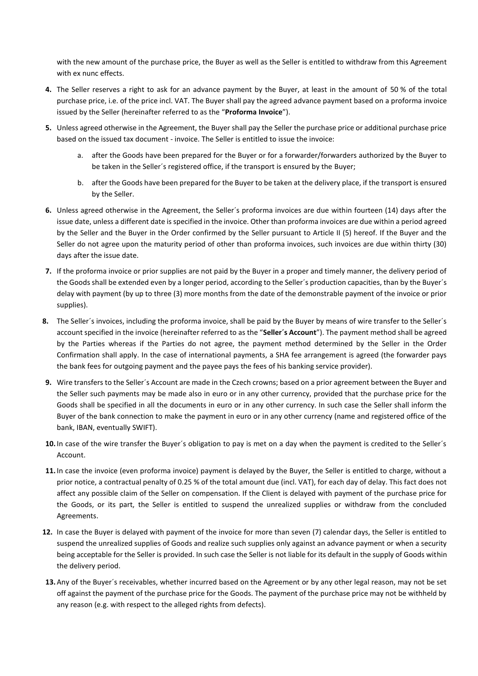with the new amount of the purchase price, the Buyer as well as the Seller is entitled to withdraw from this Agreement with ex nunc effects.

- **4.** The Seller reserves a right to ask for an advance payment by the Buyer, at least in the amount of 50 % of the total purchase price, i.e. of the price incl. VAT. The Buyer shall pay the agreed advance payment based on a proforma invoice issued by the Seller (hereinafter referred to as the "**Proforma Invoice**").
- **5.** Unless agreed otherwise in the Agreement, the Buyer shall pay the Seller the purchase price or additional purchase price based on the issued tax document - invoice. The Seller is entitled to issue the invoice:
	- a. after the Goods have been prepared for the Buyer or for a forwarder/forwarders authorized by the Buyer to be taken in the Seller´s registered office, if the transport is ensured by the Buyer;
	- b. after the Goods have been prepared for the Buyer to be taken at the delivery place, if the transport is ensured by the Seller.
- **6.** Unless agreed otherwise in the Agreement, the Seller´s proforma invoices are due within fourteen (14) days after the issue date, unless a different date is specified in the invoice. Other than proforma invoices are due within a period agreed by the Seller and the Buyer in the Order confirmed by the Seller pursuant to Article II (5) hereof. If the Buyer and the Seller do not agree upon the maturity period of other than proforma invoices, such invoices are due within thirty (30) days after the issue date.
- **7.** If the proforma invoice or prior supplies are not paid by the Buyer in a proper and timely manner, the delivery period of the Goods shall be extended even by a longer period, according to the Seller´s production capacities, than by the Buyer´s delay with payment (by up to three (3) more months from the date of the demonstrable payment of the invoice or prior supplies).
- **8.** The Seller´s invoices, including the proforma invoice, shall be paid by the Buyer by means of wire transfer to the Seller´s account specified in the invoice (hereinafter referred to as the "**Seller´s Account**"). The payment method shall be agreed by the Parties whereas if the Parties do not agree, the payment method determined by the Seller in the Order Confirmation shall apply. In the case of international payments, a SHA fee arrangement is agreed (the forwarder pays the bank fees for outgoing payment and the payee pays the fees of his banking service provider).
- **9.** Wire transfers to the Seller´s Account are made in the Czech crowns; based on a prior agreement between the Buyer and the Seller such payments may be made also in euro or in any other currency, provided that the purchase price for the Goods shall be specified in all the documents in euro or in any other currency. In such case the Seller shall inform the Buyer of the bank connection to make the payment in euro or in any other currency (name and registered office of the bank, IBAN, eventually SWIFT).
- **10.** In case of the wire transfer the Buyer´s obligation to pay is met on a day when the payment is credited to the Seller´s Account.
- **11.** In case the invoice (even proforma invoice) payment is delayed by the Buyer, the Seller is entitled to charge, without a prior notice, a contractual penalty of 0.25 % of the total amount due (incl. VAT), for each day of delay. This fact does not affect any possible claim of the Seller on compensation. If the Client is delayed with payment of the purchase price for the Goods, or its part, the Seller is entitled to suspend the unrealized supplies or withdraw from the concluded Agreements.
- **12.** In case the Buyer is delayed with payment of the invoice for more than seven (7) calendar days, the Seller is entitled to suspend the unrealized supplies of Goods and realize such supplies only against an advance payment or when a security being acceptable for the Seller is provided. In such case the Seller is not liable for its default in the supply of Goods within the delivery period.
- **13.** Any of the Buyer´s receivables, whether incurred based on the Agreement or by any other legal reason, may not be set off against the payment of the purchase price for the Goods. The payment of the purchase price may not be withheld by any reason (e.g. with respect to the alleged rights from defects).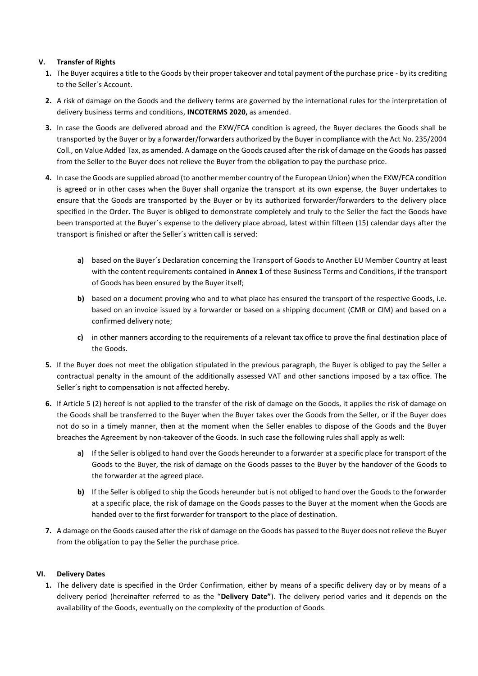## **V. Transfer of Rights**

- **1.** The Buyer acquires a title to the Goods by their proper takeover and total payment of the purchase price by its crediting to the Seller´s Account.
- **2.** A risk of damage on the Goods and the delivery terms are governed by the international rules for the interpretation of delivery business terms and conditions, **INCOTERMS 2020,** as amended.
- **3.** In case the Goods are delivered abroad and the EXW/FCA condition is agreed, the Buyer declares the Goods shall be transported by the Buyer or by a forwarder/forwarders authorized by the Buyer in compliance with the Act No. 235/2004 Coll., on Value Added Tax, as amended. A damage on the Goods caused after the risk of damage on the Goods has passed from the Seller to the Buyer does not relieve the Buyer from the obligation to pay the purchase price.
- **4.** In case the Goods are supplied abroad (to another member country of the European Union) when the EXW/FCA condition is agreed or in other cases when the Buyer shall organize the transport at its own expense, the Buyer undertakes to ensure that the Goods are transported by the Buyer or by its authorized forwarder/forwarders to the delivery place specified in the Order. The Buyer is obliged to demonstrate completely and truly to the Seller the fact the Goods have been transported at the Buyer´s expense to the delivery place abroad, latest within fifteen (15) calendar days after the transport is finished or after the Seller´s written call is served:
	- **a)** based on the Buyer´s Declaration concerning the Transport of Goods to Another EU Member Country at least with the content requirements contained in **Annex 1** of these Business Terms and Conditions, if the transport of Goods has been ensured by the Buyer itself;
	- **b)** based on a document proving who and to what place has ensured the transport of the respective Goods, i.e. based on an invoice issued by a forwarder or based on a shipping document (CMR or CIM) and based on a confirmed delivery note;
	- **c)** in other manners according to the requirements of a relevant tax office to prove the final destination place of the Goods.
- **5.** If the Buyer does not meet the obligation stipulated in the previous paragraph, the Buyer is obliged to pay the Seller a contractual penalty in the amount of the additionally assessed VAT and other sanctions imposed by a tax office. The Seller´s right to compensation is not affected hereby.
- **6.** If Article 5 (2) hereof is not applied to the transfer of the risk of damage on the Goods, it applies the risk of damage on the Goods shall be transferred to the Buyer when the Buyer takes over the Goods from the Seller, or if the Buyer does not do so in a timely manner, then at the moment when the Seller enables to dispose of the Goods and the Buyer breaches the Agreement by non-takeover of the Goods. In such case the following rules shall apply as well:
	- **a)** If the Seller is obliged to hand over the Goods hereunder to a forwarder at a specific place for transport of the Goods to the Buyer, the risk of damage on the Goods passes to the Buyer by the handover of the Goods to the forwarder at the agreed place.
	- **b)** If the Seller is obliged to ship the Goods hereunder but is not obliged to hand over the Goods to the forwarder at a specific place, the risk of damage on the Goods passes to the Buyer at the moment when the Goods are handed over to the first forwarder for transport to the place of destination.
- **7.** A damage on the Goods caused after the risk of damage on the Goods has passed to the Buyer does not relieve the Buyer from the obligation to pay the Seller the purchase price.

## **VI. Delivery Dates**

**1.** The delivery date is specified in the Order Confirmation, either by means of a specific delivery day or by means of a delivery period (hereinafter referred to as the "**Delivery Date"**). The delivery period varies and it depends on the availability of the Goods, eventually on the complexity of the production of Goods.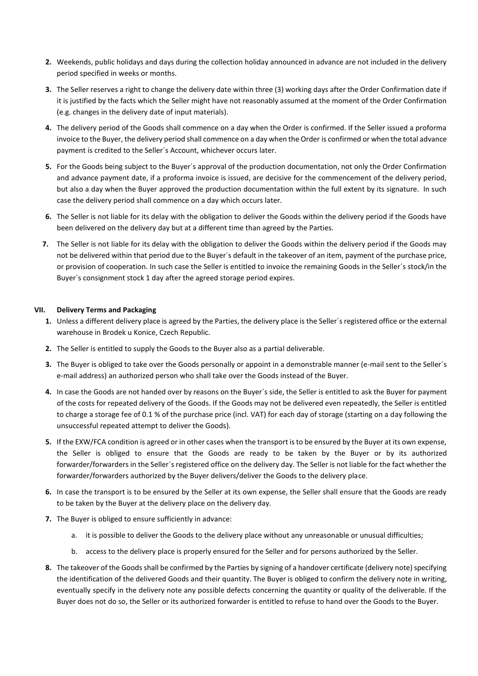- **2.** Weekends, public holidays and days during the collection holiday announced in advance are not included in the delivery period specified in weeks or months.
- **3.** The Seller reserves a right to change the delivery date within three (3) working days after the Order Confirmation date if it is justified by the facts which the Seller might have not reasonably assumed at the moment of the Order Confirmation (e.g. changes in the delivery date of input materials).
- **4.** The delivery period of the Goods shall commence on a day when the Order is confirmed. If the Seller issued a proforma invoice to the Buyer, the delivery period shall commence on a day when the Order is confirmed or when the total advance payment is credited to the Seller´s Account, whichever occurs later.
- **5.** For the Goods being subject to the Buyer´s approval of the production documentation, not only the Order Confirmation and advance payment date, if a proforma invoice is issued, are decisive for the commencement of the delivery period, but also a day when the Buyer approved the production documentation within the full extent by its signature. In such case the delivery period shall commence on a day which occurs later.
- **6.** The Seller is not liable for its delay with the obligation to deliver the Goods within the delivery period if the Goods have been delivered on the delivery day but at a different time than agreed by the Parties.
- **7.** The Seller is not liable for its delay with the obligation to deliver the Goods within the delivery period if the Goods may not be delivered within that period due to the Buyer´s default in the takeover of an item, payment of the purchase price, or provision of cooperation. In such case the Seller is entitled to invoice the remaining Goods in the Seller´s stock/in the Buyer´s consignment stock 1 day after the agreed storage period expires.

## **VII. Delivery Terms and Packaging**

- **1.** Unless a different delivery place is agreed by the Parties, the delivery place is the Seller´s registered office or the external warehouse in Brodek u Konice, Czech Republic.
- **2.** The Seller is entitled to supply the Goods to the Buyer also as a partial deliverable.
- **3.** The Buyer is obliged to take over the Goods personally or appoint in a demonstrable manner (e-mail sent to the Seller´s e-mail address) an authorized person who shall take over the Goods instead of the Buyer.
- **4.** In case the Goods are not handed over by reasons on the Buyer´s side, the Seller is entitled to ask the Buyer for payment of the costs for repeated delivery of the Goods. If the Goods may not be delivered even repeatedly, the Seller is entitled to charge a storage fee of 0.1 % of the purchase price (incl. VAT) for each day of storage (starting on a day following the unsuccessful repeated attempt to deliver the Goods).
- **5.** If the EXW/FCA condition is agreed or in other cases when the transport is to be ensured by the Buyer at its own expense, the Seller is obliged to ensure that the Goods are ready to be taken by the Buyer or by its authorized forwarder/forwarders in the Seller´s registered office on the delivery day. The Seller is not liable for the fact whether the forwarder/forwarders authorized by the Buyer delivers/deliver the Goods to the delivery place.
- **6.** In case the transport is to be ensured by the Seller at its own expense, the Seller shall ensure that the Goods are ready to be taken by the Buyer at the delivery place on the delivery day.
- **7.** The Buyer is obliged to ensure sufficiently in advance:
	- a. it is possible to deliver the Goods to the delivery place without any unreasonable or unusual difficulties;
	- b. access to the delivery place is properly ensured for the Seller and for persons authorized by the Seller.
- **8.** The takeover of the Goods shall be confirmed by the Parties by signing of a handover certificate (delivery note) specifying the identification of the delivered Goods and their quantity. The Buyer is obliged to confirm the delivery note in writing, eventually specify in the delivery note any possible defects concerning the quantity or quality of the deliverable. If the Buyer does not do so, the Seller or its authorized forwarder is entitled to refuse to hand over the Goods to the Buyer.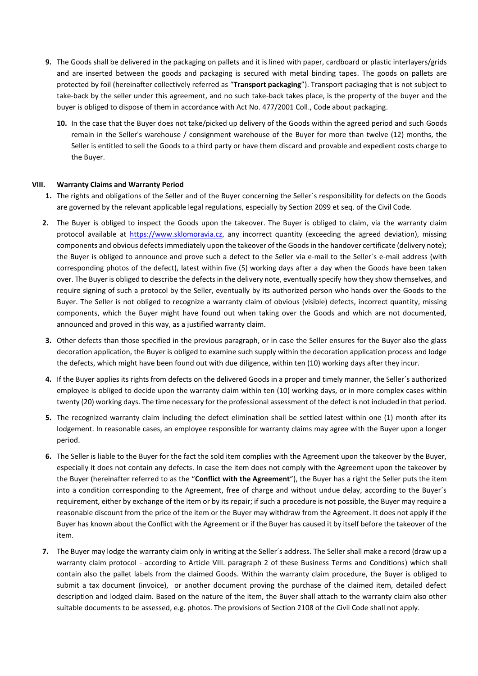- **9.** The Goods shall be delivered in the packaging on pallets and it is lined with paper, cardboard or plastic interlayers/grids and are inserted between the goods and packaging is secured with metal binding tapes. The goods on pallets are protected by foil (hereinafter collectively referred as "**Transport packaging**"). Transport packaging that is not subject to take-back by the seller under this agreement, and no such take-back takes place, is the property of the buyer and the buyer is obliged to dispose of them in accordance with Act No. 477/2001 Coll., Code about packaging.
	- **10.** In the case that the Buyer does not take/picked up delivery of the Goods within the agreed period and such Goods remain in the Seller's warehouse / consignment warehouse of the Buyer for more than twelve (12) months, the Seller is entitled to sell the Goods to a third party or have them discard and provable and expedient costs charge to the Buyer.

#### **VIII. Warranty Claims and Warranty Period**

- **1.** The rights and obligations of the Seller and of the Buyer concerning the Seller´s responsibility for defects on the Goods are governed by the relevant applicable legal regulations, especially by Section 2099 et seq. of the Civil Code.
- **2.** The Buyer is obliged to inspect the Goods upon the takeover. The Buyer is obliged to claim, via the warranty claim protocol available at [https://www.sklomoravia.cz,](https://www.sklomoravia.cz/) any incorrect quantity (exceeding the agreed deviation), missing components and obvious defects immediately upon the takeover of the Goods in the handover certificate (delivery note); the Buyer is obliged to announce and prove such a defect to the Seller via e-mail to the Seller´s e-mail address (with corresponding photos of the defect), latest within five (5) working days after a day when the Goods have been taken over. The Buyer is obliged to describe the defects in the delivery note, eventually specify how they show themselves, and require signing of such a protocol by the Seller, eventually by its authorized person who hands over the Goods to the Buyer. The Seller is not obliged to recognize a warranty claim of obvious (visible) defects, incorrect quantity, missing components, which the Buyer might have found out when taking over the Goods and which are not documented, announced and proved in this way, as a justified warranty claim.
- **3.** Other defects than those specified in the previous paragraph, or in case the Seller ensures for the Buyer also the glass decoration application, the Buyer is obliged to examine such supply within the decoration application process and lodge the defects, which might have been found out with due diligence, within ten (10) working days after they incur.
- **4.** If the Buyer applies its rights from defects on the delivered Goods in a proper and timely manner, the Seller´s authorized employee is obliged to decide upon the warranty claim within ten (10) working days, or in more complex cases within twenty (20) working days. The time necessary for the professional assessment of the defect is not included in that period.
- **5.** The recognized warranty claim including the defect elimination shall be settled latest within one (1) month after its lodgement. In reasonable cases, an employee responsible for warranty claims may agree with the Buyer upon a longer period.
- **6.** The Seller is liable to the Buyer for the fact the sold item complies with the Agreement upon the takeover by the Buyer, especially it does not contain any defects. In case the item does not comply with the Agreement upon the takeover by the Buyer (hereinafter referred to as the "**Conflict with the Agreement**"), the Buyer has a right the Seller puts the item into a condition corresponding to the Agreement, free of charge and without undue delay, according to the Buyer´s requirement, either by exchange of the item or by its repair; if such a procedure is not possible, the Buyer may require a reasonable discount from the price of the item or the Buyer may withdraw from the Agreement. It does not apply if the Buyer has known about the Conflict with the Agreement or if the Buyer has caused it by itself before the takeover of the item.
- **7.** The Buyer may lodge the warranty claim only in writing at the Seller´s address. The Seller shall make a record (draw up a warranty claim protocol - according to Article VIII. paragraph 2 of these Business Terms and Conditions) which shall contain also the pallet labels from the claimed Goods. Within the warranty claim procedure, the Buyer is obliged to submit a tax document (invoice), or another document proving the purchase of the claimed item, detailed defect description and lodged claim. Based on the nature of the item, the Buyer shall attach to the warranty claim also other suitable documents to be assessed, e.g. photos. The provisions of Section 2108 of the Civil Code shall not apply.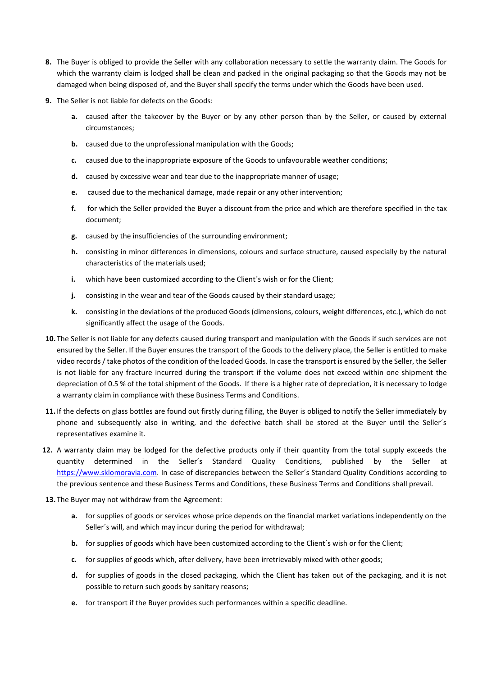- **8.** The Buyer is obliged to provide the Seller with any collaboration necessary to settle the warranty claim. The Goods for which the warranty claim is lodged shall be clean and packed in the original packaging so that the Goods may not be damaged when being disposed of, and the Buyer shall specify the terms under which the Goods have been used.
- **9.** The Seller is not liable for defects on the Goods:
	- **a.** caused after the takeover by the Buyer or by any other person than by the Seller, or caused by external circumstances;
	- **b.** caused due to the unprofessional manipulation with the Goods;
	- **c.** caused due to the inappropriate exposure of the Goods to unfavourable weather conditions;
	- **d.** caused by excessive wear and tear due to the inappropriate manner of usage;
	- **e.** caused due to the mechanical damage, made repair or any other intervention;
	- **f.** for which the Seller provided the Buyer a discount from the price and which are therefore specified in the tax document;
	- **g.** caused by the insufficiencies of the surrounding environment;
	- **h.** consisting in minor differences in dimensions, colours and surface structure, caused especially by the natural characteristics of the materials used;
	- **i.** which have been customized according to the Client's wish or for the Client:
	- **j.** consisting in the wear and tear of the Goods caused by their standard usage;
	- **k.** consisting in the deviations of the produced Goods (dimensions, colours, weight differences, etc.), which do not significantly affect the usage of the Goods.
- **10.** The Seller is not liable for any defects caused during transport and manipulation with the Goods if such services are not ensured by the Seller. If the Buyer ensures the transport of the Goods to the delivery place, the Seller is entitled to make video records / take photos of the condition of the loaded Goods. In case the transport is ensured by the Seller, the Seller is not liable for any fracture incurred during the transport if the volume does not exceed within one shipment the depreciation of 0.5 % of the total shipment of the Goods. If there is a higher rate of depreciation, it is necessary to lodge a warranty claim in compliance with these Business Terms and Conditions.
- **11.** If the defects on glass bottles are found out firstly during filling, the Buyer is obliged to notify the Seller immediately by phone and subsequently also in writing, and the defective batch shall be stored at the Buyer until the Seller´s representatives examine it.
- **12.** A warranty claim may be lodged for the defective products only if their quantity from the total supply exceeds the quantity determined in the Seller´s Standard Quality Conditions, published by the Seller at [https://www.sklomoravia.com.](https://www.sklomoravia.com/) In case of discrepancies between the Seller´s Standard Quality Conditions according to the previous sentence and these Business Terms and Conditions, these Business Terms and Conditions shall prevail.
- **13.** The Buyer may not withdraw from the Agreement:
	- **a.** for supplies of goods or services whose price depends on the financial market variations independently on the Seller´s will, and which may incur during the period for withdrawal;
	- **b.** for supplies of goods which have been customized according to the Client's wish or for the Client;
	- **c.** for supplies of goods which, after delivery, have been irretrievably mixed with other goods;
	- **d.** for supplies of goods in the closed packaging, which the Client has taken out of the packaging, and it is not possible to return such goods by sanitary reasons;
	- **e.** for transport if the Buyer provides such performances within a specific deadline.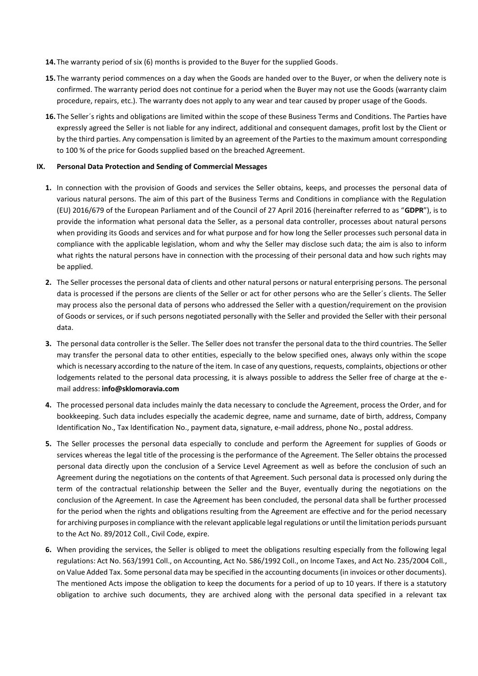- **14.** The warranty period of six (6) months is provided to the Buyer for the supplied Goods.
- **15.** The warranty period commences on a day when the Goods are handed over to the Buyer, or when the delivery note is confirmed. The warranty period does not continue for a period when the Buyer may not use the Goods (warranty claim procedure, repairs, etc.). The warranty does not apply to any wear and tear caused by proper usage of the Goods.
- **16.** The Seller´s rights and obligations are limited within the scope of these Business Terms and Conditions. The Parties have expressly agreed the Seller is not liable for any indirect, additional and consequent damages, profit lost by the Client or by the third parties. Any compensation is limited by an agreement of the Parties to the maximum amount corresponding to 100 % of the price for Goods supplied based on the breached Agreement.

#### **IX. Personal Data Protection and Sending of Commercial Messages**

- **1.** In connection with the provision of Goods and services the Seller obtains, keeps, and processes the personal data of various natural persons. The aim of this part of the Business Terms and Conditions in compliance with the Regulation (EU) 2016/679 of the European Parliament and of the Council of 27 April 2016 (hereinafter referred to as "**GDPR**"), is to provide the information what personal data the Seller, as a personal data controller, processes about natural persons when providing its Goods and services and for what purpose and for how long the Seller processes such personal data in compliance with the applicable legislation, whom and why the Seller may disclose such data; the aim is also to inform what rights the natural persons have in connection with the processing of their personal data and how such rights may be applied.
- **2.** The Seller processes the personal data of clients and other natural persons or natural enterprising persons. The personal data is processed if the persons are clients of the Seller or act for other persons who are the Seller´s clients. The Seller may process also the personal data of persons who addressed the Seller with a question/requirement on the provision of Goods or services, or if such persons negotiated personally with the Seller and provided the Seller with their personal data.
- **3.** The personal data controller is the Seller. The Seller does not transfer the personal data to the third countries. The Seller may transfer the personal data to other entities, especially to the below specified ones, always only within the scope which is necessary according to the nature of the item. In case of any questions, requests, complaints, objections or other lodgements related to the personal data processing, it is always possible to address the Seller free of charge at the email address: **info@sklomoravia.com**
- **4.** The processed personal data includes mainly the data necessary to conclude the Agreement, process the Order, and for bookkeeping. Such data includes especially the academic degree, name and surname, date of birth, address, Company Identification No., Tax Identification No., payment data, signature, e-mail address, phone No., postal address.
- **5.** The Seller processes the personal data especially to conclude and perform the Agreement for supplies of Goods or services whereas the legal title of the processing is the performance of the Agreement. The Seller obtains the processed personal data directly upon the conclusion of a Service Level Agreement as well as before the conclusion of such an Agreement during the negotiations on the contents of that Agreement. Such personal data is processed only during the term of the contractual relationship between the Seller and the Buyer, eventually during the negotiations on the conclusion of the Agreement. In case the Agreement has been concluded, the personal data shall be further processed for the period when the rights and obligations resulting from the Agreement are effective and for the period necessary for archiving purposes in compliance with the relevant applicable legal regulations or until the limitation periods pursuant to the Act No. 89/2012 Coll., Civil Code, expire.
- **6.** When providing the services, the Seller is obliged to meet the obligations resulting especially from the following legal regulations: Act No. 563/1991 Coll., on Accounting, Act No. 586/1992 Coll., on Income Taxes, and Act No. 235/2004 Coll., on Value Added Tax. Some personal data may be specified in the accounting documents (in invoices or other documents). The mentioned Acts impose the obligation to keep the documents for a period of up to 10 years. If there is a statutory obligation to archive such documents, they are archived along with the personal data specified in a relevant tax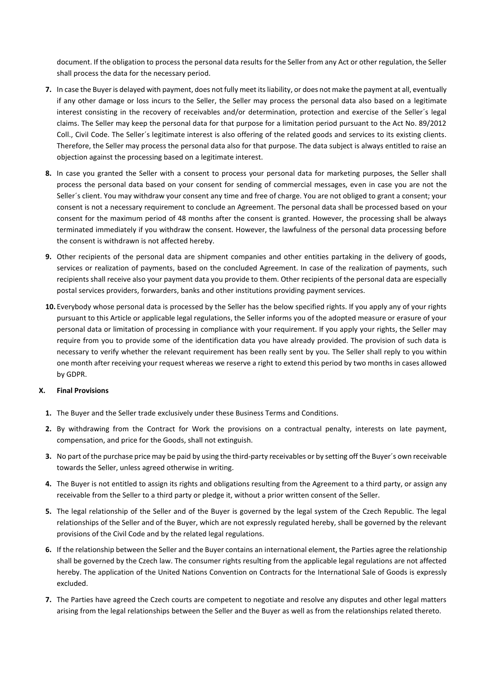document. If the obligation to process the personal data results for the Seller from any Act or other regulation, the Seller shall process the data for the necessary period.

- **7.** In case the Buyer is delayed with payment, does not fully meet its liability, or does not make the payment at all, eventually if any other damage or loss incurs to the Seller, the Seller may process the personal data also based on a legitimate interest consisting in the recovery of receivables and/or determination, protection and exercise of the Seller´s legal claims. The Seller may keep the personal data for that purpose for a limitation period pursuant to the Act No. 89/2012 Coll., Civil Code. The Seller´s legitimate interest is also offering of the related goods and services to its existing clients. Therefore, the Seller may process the personal data also for that purpose. The data subject is always entitled to raise an objection against the processing based on a legitimate interest.
- **8.** In case you granted the Seller with a consent to process your personal data for marketing purposes, the Seller shall process the personal data based on your consent for sending of commercial messages, even in case you are not the Seller´s client. You may withdraw your consent any time and free of charge. You are not obliged to grant a consent; your consent is not a necessary requirement to conclude an Agreement. The personal data shall be processed based on your consent for the maximum period of 48 months after the consent is granted. However, the processing shall be always terminated immediately if you withdraw the consent. However, the lawfulness of the personal data processing before the consent is withdrawn is not affected hereby.
- **9.** Other recipients of the personal data are shipment companies and other entities partaking in the delivery of goods, services or realization of payments, based on the concluded Agreement. In case of the realization of payments, such recipients shall receive also your payment data you provide to them. Other recipients of the personal data are especially postal services providers, forwarders, banks and other institutions providing payment services.
- **10.** Everybody whose personal data is processed by the Seller has the below specified rights. If you apply any of your rights pursuant to this Article or applicable legal regulations, the Seller informs you of the adopted measure or erasure of your personal data or limitation of processing in compliance with your requirement. If you apply your rights, the Seller may require from you to provide some of the identification data you have already provided. The provision of such data is necessary to verify whether the relevant requirement has been really sent by you. The Seller shall reply to you within one month after receiving your request whereas we reserve a right to extend this period by two months in cases allowed by GDPR.

## **X. Final Provisions**

- **1.** The Buyer and the Seller trade exclusively under these Business Terms and Conditions.
- **2.** By withdrawing from the Contract for Work the provisions on a contractual penalty, interests on late payment, compensation, and price for the Goods, shall not extinguish.
- **3.** No part of the purchase price may be paid by using the third-party receivables or by setting off the Buyer´s own receivable towards the Seller, unless agreed otherwise in writing.
- **4.** The Buyer is not entitled to assign its rights and obligations resulting from the Agreement to a third party, or assign any receivable from the Seller to a third party or pledge it, without a prior written consent of the Seller.
- **5.** The legal relationship of the Seller and of the Buyer is governed by the legal system of the Czech Republic. The legal relationships of the Seller and of the Buyer, which are not expressly regulated hereby, shall be governed by the relevant provisions of the Civil Code and by the related legal regulations.
- **6.** If the relationship between the Seller and the Buyer contains an international element, the Parties agree the relationship shall be governed by the Czech law. The consumer rights resulting from the applicable legal regulations are not affected hereby. The application of the United Nations Convention on Contracts for the International Sale of Goods is expressly excluded.
- **7.** The Parties have agreed the Czech courts are competent to negotiate and resolve any disputes and other legal matters arising from the legal relationships between the Seller and the Buyer as well as from the relationships related thereto.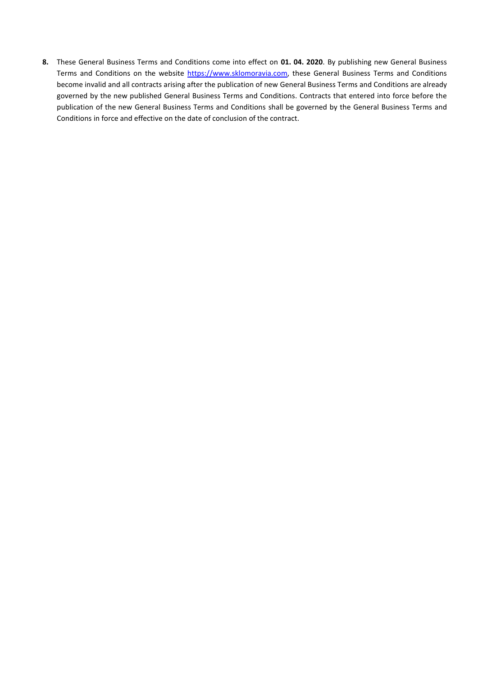**8.** These General Business Terms and Conditions come into effect on **01. 04. 2020**. By publishing new General Business Terms and Conditions on the website [https://www.sklomoravia.com,](https://www.sklomoravia.com/) these General Business Terms and Conditions become invalid and all contracts arising after the publication of new General Business Terms and Conditions are already governed by the new published General Business Terms and Conditions. Contracts that entered into force before the publication of the new General Business Terms and Conditions shall be governed by the General Business Terms and Conditions in force and effective on the date of conclusion of the contract.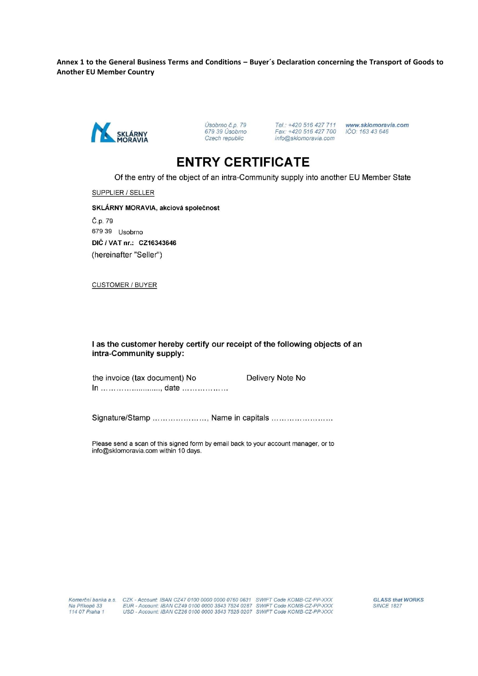Annex 1 to the General Business Terms and Conditions - Buyer's Declaration concerning the Transport of Goods to **Another EU Member Country** 



www.sklomoravia.com<br>IČO: 163 43 646

# **ENTRY CERTIFICATE**

Of the entry of the object of an intra-Community supply into another EU Member State

SUPPLIER / SELLER

SKLÁRNY MORAVIA, akciová společnost Č.p. 79 679 39 Usobrno DIČ / VAT nr.: CZ16343646 (hereinafter "Seller")

**CUSTOMER / BUYER** 

I as the customer hereby certify our receipt of the following objects of an intra-Community supply:

the invoice (tax document) No Delivery Note No In ... ... ... ... ... ... ......., date ... ... ... ... .......

Signature/Stamp ...................., Name in capitals .........................

Please send a scan of this signed form by email back to your account manager, or to info@sklomoravia.com within 10 days.

**GLASS that WORKS SINCE 1827**